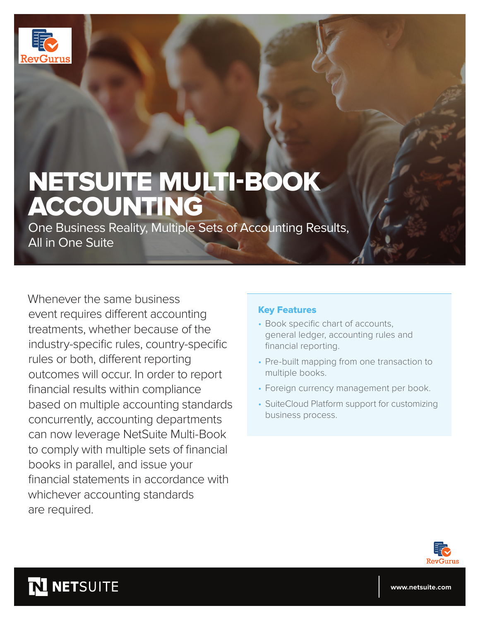

# NETSUITE MULTI-BOOK ACCOUNTING

One Business Reality, Multiple Sets of Accounting Results, All in One Suite

Whenever the same business event requires different accounting treatments, whether because of the industry-specific rules, country-specific rules or both, different reporting outcomes will occur. In order to report financial results within compliance based on multiple accounting standards concurrently, accounting departments can now leverage NetSuite Multi-Book to comply with multiple sets of financial books in parallel, and issue your financial statements in accordance with whichever accounting standards are required.

#### Key Features

- Book specific chart of accounts, general ledger, accounting rules and financial reporting.
- Pre-built mapping from one transaction to multiple books.
- Foreign currency management per book.
- SuiteCloud Platform support for customizing business process.



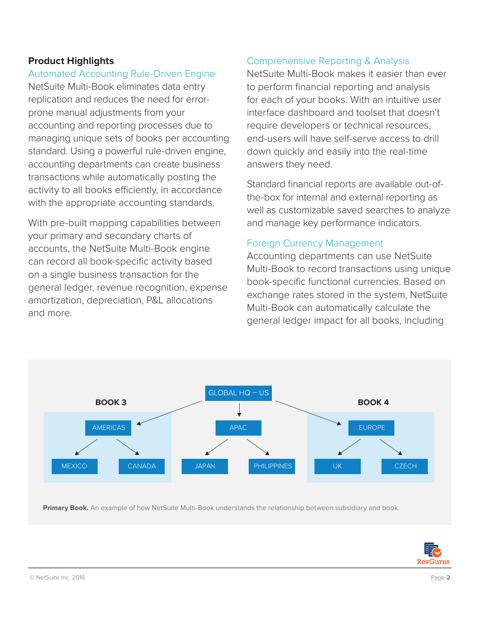# **Product Highlights**

Automated Accounting Rule-Driven Engine NetSuite Multi-Book eliminates data entry replication and reduces the need for error-

prone manual adjustments from your accounting and reporting processes due to managing unique sets of books per accounting standard. Using a powerful rule-driven engine, accounting departments can create business transactions while automatically posting the activity to all books efficiently, in accordance with the appropriate accounting standards.

With pre-built mapping capabilities between your primary and secondary charts of accounts, the NetSuite Multi-Book engine can record all book-specific activity based on a single business transaction for the general ledger, revenue recognition, expense amortization, depreciation, P&L allocations and more.

### Comprehensive Reporting & Analysis

NetSuite Multi-Book makes it easier than ever to perform financial reporting and analysis for each of your books. With an intuitive user interface dashboard and toolset that doesn't require developers or technical resources, end-users will have self-serve access to drill down quickly and easily into the real-time answers they need.

Standard financial reports are available out-ofthe-box for internal and external reporting as well as customizable saved searches to analyze and manage key performance indicators.

#### Foreign Currency Management

Accounting departments can use NetSuite Multi-Book to record transactions using unique book-specific functional currencies. Based on exchange rates stored in the system, NetSuite Multi-Book can automatically calculate the general ledger impact for all books, including



**Primary Book.** An example of how NetSuite Multi-Book understands the relationship between subsidiary and book.